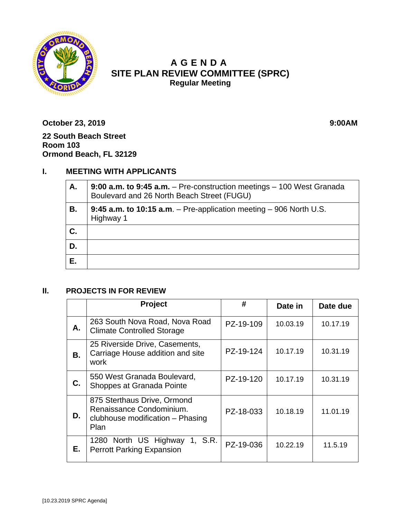

# **A GENDA SITE PLAN REVIEW COMMITTEE (SPRC) Regular Meeting**

**October 23, 2019 9:00AM 22 South Beach Street Room 103 Ormond Beach, FL 32129**

# **I. MEETING WITH APPLICANTS**

| А. | 9:00 a.m. to 9:45 a.m. $-$ Pre-construction meetings $-$ 100 West Granada<br>Boulevard and 26 North Beach Street (FUGU) |  |  |
|----|-------------------------------------------------------------------------------------------------------------------------|--|--|
| В. | 9:45 a.m. to 10:15 a.m. $-$ Pre-application meeting $-$ 906 North U.S.<br>Highway 1                                     |  |  |
| C. |                                                                                                                         |  |  |
| D. |                                                                                                                         |  |  |
| Е. |                                                                                                                         |  |  |

#### **II. PROJECTS IN FOR REVIEW**

|    | Project                                                                                             | #         | Date in  | Date due |
|----|-----------------------------------------------------------------------------------------------------|-----------|----------|----------|
| А. | 263 South Nova Road, Nova Road<br><b>Climate Controlled Storage</b>                                 | PZ-19-109 | 10.03.19 | 10.17.19 |
| В. | 25 Riverside Drive, Casements,<br>Carriage House addition and site<br>work                          | PZ-19-124 | 10.17.19 | 10.31.19 |
| C. | 550 West Granada Boulevard,<br>Shoppes at Granada Pointe                                            | PZ-19-120 | 10.17.19 | 10.31.19 |
| D. | 875 Sterthaus Drive, Ormond<br>Renaissance Condominium.<br>clubhouse modification - Phasing<br>Plan | PZ-18-033 | 10.18.19 | 11.01.19 |
| Е. | 1280 North US Highway<br>1, S.R.<br><b>Perrott Parking Expansion</b>                                | PZ-19-036 | 10.22.19 | 11.5.19  |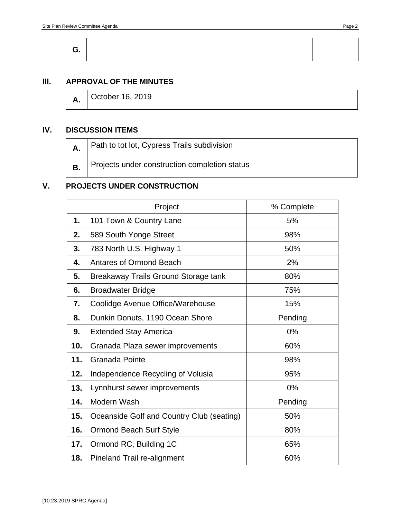## **III. APPROVAL OF THE MINUTES**

|  | <b>A.</b> October 16, 2019 |  |  |
|--|----------------------------|--|--|
|--|----------------------------|--|--|

## **IV. DISCUSSION ITEMS**

| <sup>1</sup> Path to tot lot, Cypress Trails subdivision |
|----------------------------------------------------------|
| Projects under construction completion status            |

#### **V. PROJECTS UNDER CONSTRUCTION**

|     | Project                                   | % Complete |
|-----|-------------------------------------------|------------|
| 1.  | 101 Town & Country Lane                   | 5%         |
| 2.  | 589 South Yonge Street                    | 98%        |
| 3.  | 783 North U.S. Highway 1                  | 50%        |
| 4.  | <b>Antares of Ormond Beach</b>            | 2%         |
| 5.  | Breakaway Trails Ground Storage tank      | 80%        |
| 6.  | <b>Broadwater Bridge</b>                  | 75%        |
| 7.  | Coolidge Avenue Office/Warehouse          | 15%        |
| 8.  | Dunkin Donuts, 1190 Ocean Shore           | Pending    |
| 9.  | <b>Extended Stay America</b>              | 0%         |
| 10. | Granada Plaza sewer improvements          | 60%        |
| 11. | Granada Pointe                            | 98%        |
| 12. | Independence Recycling of Volusia         | 95%        |
| 13. | Lynnhurst sewer improvements              | 0%         |
| 14. | Modern Wash                               | Pending    |
| 15. | Oceanside Golf and Country Club (seating) | 50%        |
| 16. | <b>Ormond Beach Surf Style</b>            | 80%        |
| 17. | Ormond RC, Building 1C                    | 65%        |
| 18. | Pineland Trail re-alignment               | 60%        |